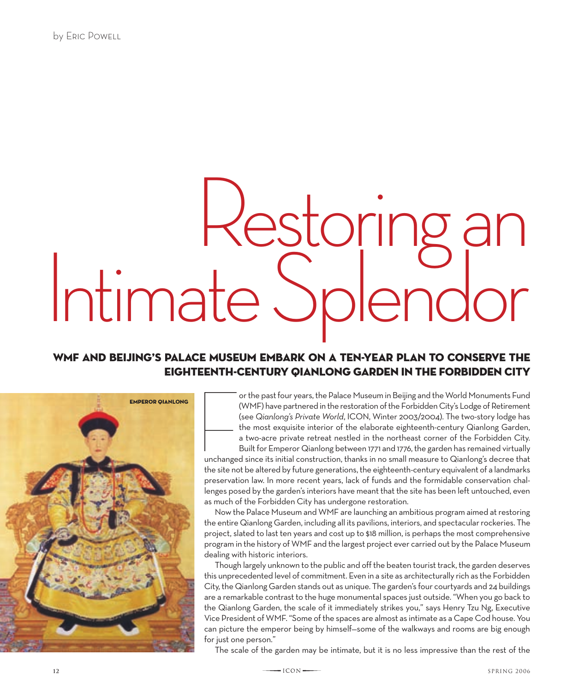## Restoring an<br>Intimate Splendo

## WMF and Beijing's Palace Museum embark on a ten-year plan to conserve the eighteenth-century Qianlong Garden in the Forbidden City



or the past four years, the Palace Museum in Beijing and the World Monuments Fund (WMF) have partnered in the restoration of the Forbidden City's Lodge of Retirement (see *Qianlong's Private World*, ICON, Winter 2003/2004). The two-story lodge has the most exquisite interior of the elaborate eighteenth-century Qianlong Garden, a two-acre private retreat nestled in the northeast corner of the Forbidden City.

 $\begin{tabular}{|c|c|c|} \hline \quad \quad & \quad \quad & \quad \quad \\ \hline \quad \quad & \quad \quad & \quad \quad \\ \hline \quad \quad & \quad \quad & \quad \quad \\ \hline \quad \quad & \quad \quad & \quad \quad \\ \hline \quad \quad & \quad \quad & \quad \quad \\ \hline \quad \quad & \quad \quad & \quad \quad \\ \hline \quad \quad & \quad \quad & \quad \quad \\ \hline \quad \quad & \quad \quad & \quad \quad \\ \hline \quad \quad & \quad \quad & \quad \quad \\ \hline \quad \quad & \quad \quad & \quad \quad \\ \hline \quad \quad & \quad \quad & \quad \quad \\ \hline \quad \quad &$ Built for Emperor Qianlong between 1771 and 1776, the garden has remained virtually unchanged since its initial construction, thanks in no small measure to Qianlong's decree that the site not be altered by future generations, the eighteenth-century equivalent of a landmarks preservation law. In more recent years, lack of funds and the formidable conservation challenges posed by the garden's interiors have meant that the site has been left untouched, even as much of the Forbidden City has undergone restoration.

Now the Palace Museum and WMF are launching an ambitious program aimed at restoring the entire Qianlong Garden, including all its pavilions, interiors, and spectacular rockeries. The project, slated to last ten years and cost up to \$18 million, is perhaps the most comprehensive program in the history of WMF and the largest project ever carried out by the Palace Museum dealing with historic interiors.

Though largely unknown to the public and off the beaten tourist track, the garden deserves this unprecedented level of commitment. Even in a site as architecturally rich as the Forbidden City, the Qianlong Garden stands out as unique. The garden's four courtyards and 24 buildings are a remarkable contrast to the huge monumental spaces just outside. "When you go back to the Qianlong Garden, the scale of it immediately strikes you," says Henry Tzu Ng, Executive Vice President of WMF. "Some of the spaces are almost as intimate as a Cape Cod house. You can picture the emperor being by himself—some of the walkways and rooms are big enough for just one person."

The scale of the garden may be intimate, but it is no less impressive than the rest of the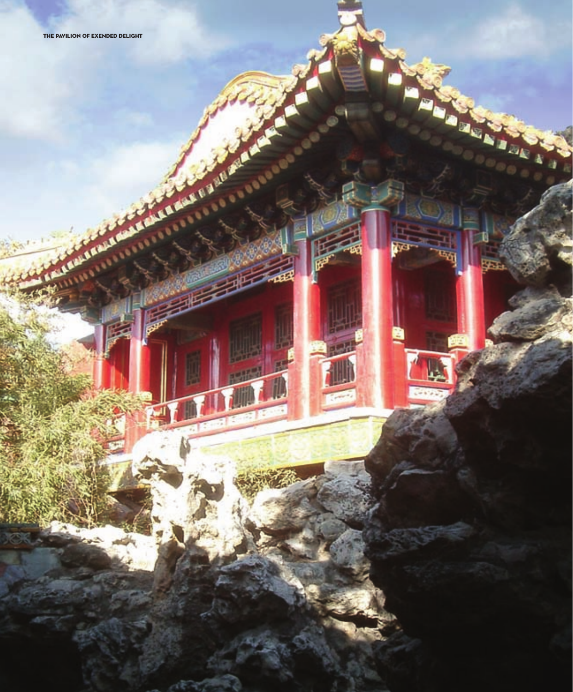**LANGUARD** 

SE O AME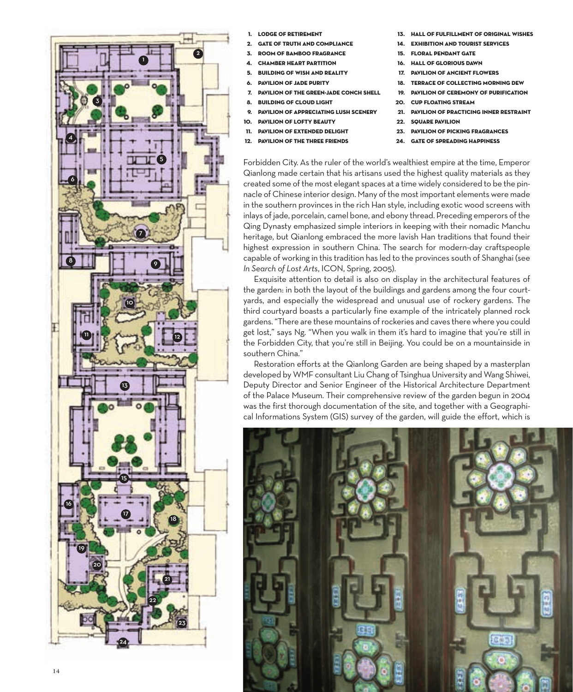

- 1. Lodge of Retirement
- **GATE OF TRUTH AND COMPLIANCE**
- 3. Room of Bamboo Fragrance
- **CHAMBER HEART PARTITION**
- 5. BUILDING OF WISH AND REALITY
- PAVILION OF JADE PURITY
- 7. Pavilion of the Green-Jade Conch Shell
- 8. Building of Cloud light
- 9. Pavilion of Appreciating Lush Scenery
- 10. Pavilion of Lofty Beauty
- 11. Pavilion of Extended Delight
- 12. Pavilion of the Three Friends
- HALL OF FULFILLMENT OF ORIGINAL WISHES
- **EXHIBITION AND TOURIST SERVICES**
- 15. Floral Pendant Gate
- 16. Hall of Glorious Dawn
- 17. Pavilion of Ancient Flowers
- 18. Terrace of Collecting Morning Dew
- 19. Pavilion of Ceremony of Purification
- 20. Cup Floating Stream
- 21. Pavilion of Practicing Inner Restraint
- 22. SQUARE PAVILION
- 23. Pavilion of Picking Fragrances
- 24. Gate of Spreading Happiness

Forbidden City. As the ruler of the world's wealthiest empire at the time, Emperor Qianlong made certain that his artisans used the highest quality materials as they created some of the most elegant spaces at a time widely considered to be the pinnacle of Chinese interior design. Many of the most important elements were made in the southern provinces in the rich Han style, including exotic wood screens with inlays of jade, porcelain, camel bone, and ebony thread. Preceding emperors of the Qing Dynasty emphasized simple interiors in keeping with their nomadic Manchu heritage, but Qianlong embraced the more lavish Han traditions that found their highest expression in southern China. The search for modern-day craftspeople capable of working in this tradition has led to the provinces south of Shanghai (see *In Search of Lost Arts*, ICON, Spring, 2005).

Exquisite attention to detail is also on display in the architectural features of the garden: in both the layout of the buildings and gardens among the four courtyards, and especially the widespread and unusual use of rockery gardens. The third courtyard boasts a particularly fine example of the intricately planned rock gardens. "There are these mountains of rockeries and caves there where you could get lost," says Ng. "When you walk in them it's hard to imagine that you're still in the Forbidden City, that you're still in Beijing. You could be on a mountainside in southern China."

Restoration efforts at the Qianlong Garden are being shaped by a masterplan developed by WMF consultant Liu Chang of Tsinghua University and Wang Shiwei, Deputy Director and Senior Engineer of the Historical Architecture Department of the Palace Museum. Their comprehensive review of the garden begun in 2004 was the first thorough documentation of the site, and together with a Geographical Informations System (GIS) survey of the garden, will guide the effort, which is

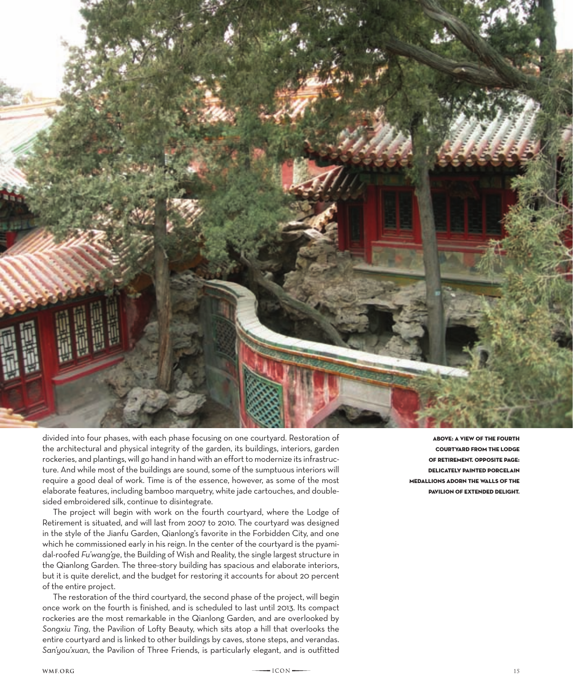

divided into four phases, with each phase focusing on one courtyard. Restoration of the architectural and physical integrity of the garden, its buildings, interiors, garden rockeries, and plantings, will go hand in hand with an effort to modernize its infrastructure. And while most of the buildings are sound, some of the sumptuous interiors will require a good deal of work. Time is of the essence, however, as some of the most elaborate features, including bamboo marquetry, white jade cartouches, and doublesided embroidered silk, continue to disintegrate.

The project will begin with work on the fourth courtyard, where the Lodge of Retirement is situated, and will last from 2007 to 2010. The courtyard was designed in the style of the Jianfu Garden, Qianlong's favorite in the Forbidden City, and one which he commissioned early in his reign. In the center of the courtyard is the pyamidal-roofed *Fu'wang'ge*, the Building of Wish and Reality, the single largest structure in the Qianlong Garden. The three-story building has spacious and elaborate interiors, but it is quite derelict, and the budget for restoring it accounts for about 20 percent of the entire project.

The restoration of the third courtyard, the second phase of the project, will begin once work on the fourth is finished, and is scheduled to last until 2013. Its compact rockeries are the most remarkable in the Qianlong Garden, and are overlooked by *Songxiu Ting*, the Pavilion of Lofty Beauty, which sits atop a hill that overlooks the entire courtyard and is linked to other buildings by caves, stone steps, and verandas. *San'you'xuan*, the Pavilion of Three Friends, is particularly elegant, and is outfitted

above: a view of the fourth courtyard from the lodge of retirement. opposite page: delicately painted porcelain medallions adorn the walls of the pavilion of extended delight.

WMF.ORG 15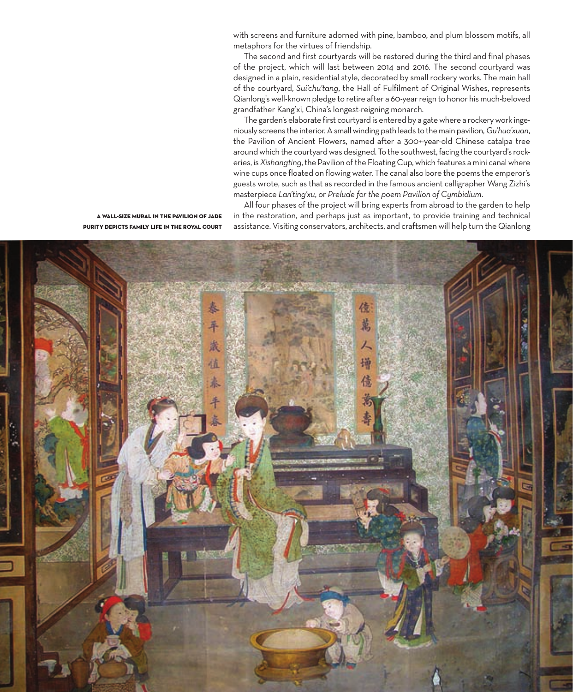with screens and furniture adorned with pine, bamboo, and plum blossom motifs, all metaphors for the virtues of friendship.

The second and first courtyards will be restored during the third and final phases of the project, which will last between 2014 and 2016. The second courtyard was designed in a plain, residential style, decorated by small rockery works. The main hall of the courtyard, *Sui'chu'tang*, the Hall of Fulfilment of Original Wishes, represents Qianlong's well-known pledge to retire after a 60-year reign to honor his much-beloved grandfather Kang'xi, China's longest-reigning monarch.

The garden's elaborate first courtyard is entered by a gate where a rockery work ingeniously screens the interior. A small winding path leads to the main pavilion, *Gu'hua'xuan*, the Pavilion of Ancient Flowers, named after a 300+-year-old Chinese catalpa tree around which the courtyard was designed. To the southwest, facing the courtyard's rockeries, is *Xishangting*, the Pavilion of the Floating Cup, which features a mini canal where wine cups once floated on flowing water. The canal also bore the poems the emperor's guests wrote, such as that as recorded in the famous ancient calligrapher Wang Zizhi's masterpiece *Lan'ting'xu*, or *Prelude for the poem Pavilion of Cymbidium*.

All four phases of the project will bring experts from abroad to the garden to help in the restoration, and perhaps just as important, to provide training and technical assistance. Visiting conservators, architects, and craftsmen will help turn the Qianlong

a wall-size mural in the pavilion of Jade Purity depicts family life in the royal court